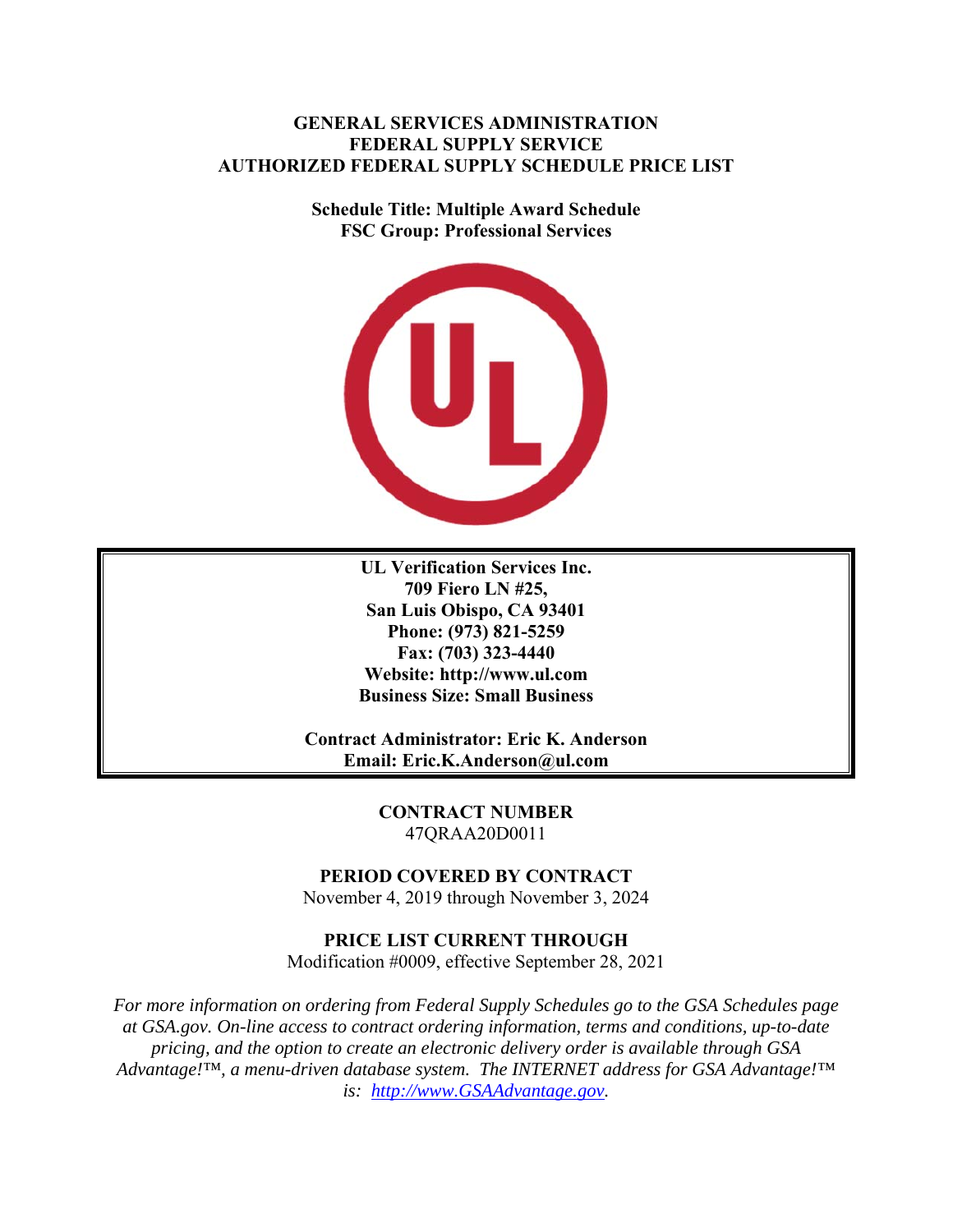# **GENERAL SERVICES ADMINISTRATION FEDERAL SUPPLY SERVICE AUTHORIZED FEDERAL SUPPLY SCHEDULE PRICE LIST**

**Schedule Title: Multiple Award Schedule FSC Group: Professional Services** 



**UL Verification Services Inc. 709 Fiero LN #25, San Luis Obispo, CA 93401 Phone: (973) 821-5259 Fax: (703) 323-4440 Website: http://www.ul.com Business Size: Small Business** 

**Contract Administrator: Eric K. Anderson Email: Eric.K.Anderson@ul.com** 

> **CONTRACT NUMBER**  47QRAA20D0011

# **PERIOD COVERED BY CONTRACT**

November 4, 2019 through November 3, 2024

# **PRICE LIST CURRENT THROUGH**

Modification #0009, effective September 28, 2021

*For more information on ordering from Federal Supply Schedules go to the GSA Schedules page at GSA.gov. On-line access to contract ordering information, terms and conditions, up-to-date pricing, and the option to create an electronic delivery order is available through GSA Advantage!™, a menu-driven database system. The INTERNET address for GSA Advantage!™ is: http://www.GSAAdvantage.gov.*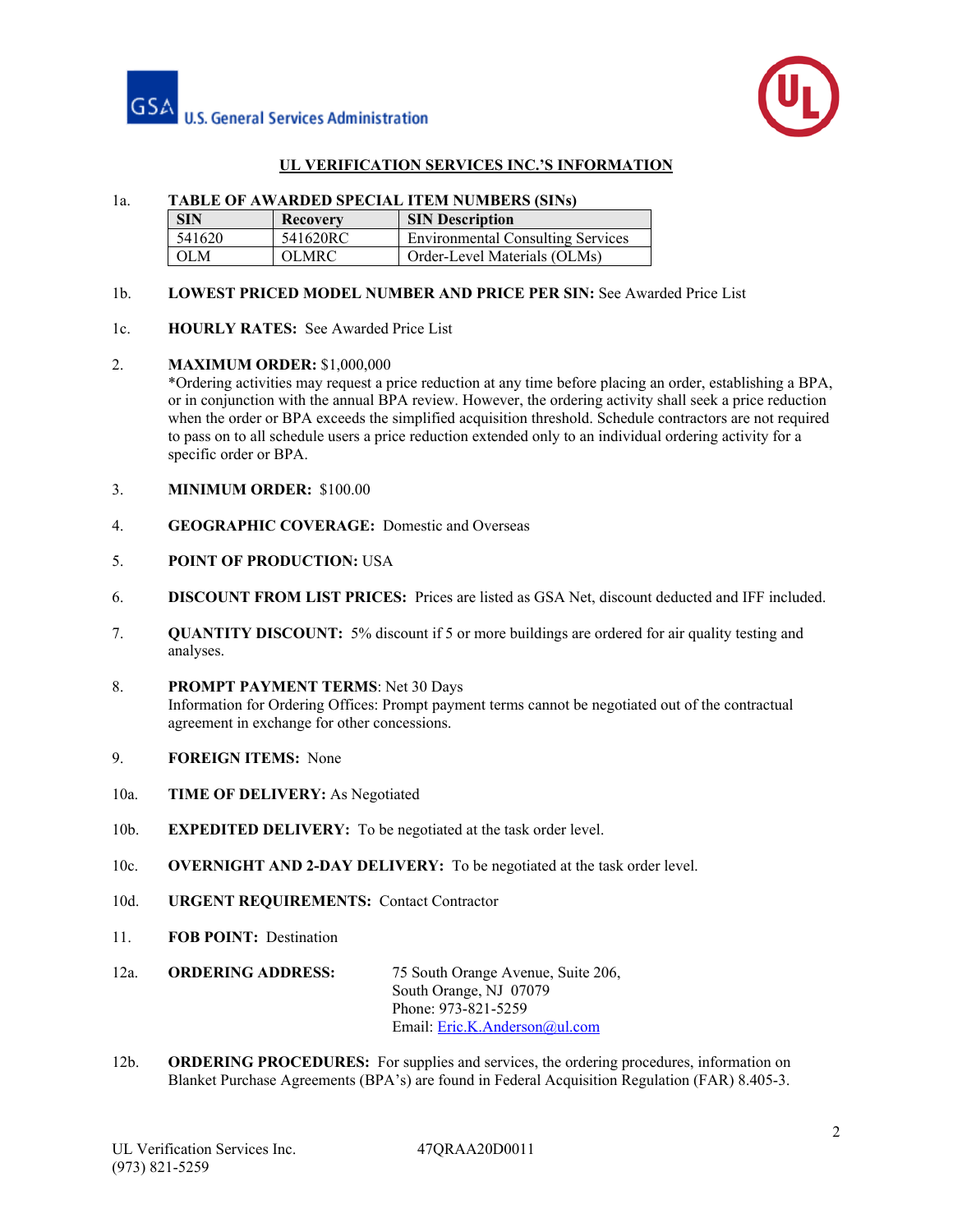



# **UL VERIFICATION SERVICES INC.'S INFORMATION**

## 1a. **TABLE OF AWARDED SPECIAL ITEM NUMBERS (SINs)**

| <b>SIN</b> | <b>Recovery</b> | <b>SIN Description</b>                   |  |
|------------|-----------------|------------------------------------------|--|
| 541620     | 541620RC        | <b>Environmental Consulting Services</b> |  |
| OLM        | OLMRC.          | Order-Level Materials (OLMs)             |  |

## 1b. **LOWEST PRICED MODEL NUMBER AND PRICE PER SIN:** See Awarded Price List

1c. **HOURLY RATES:** See Awarded Price List

#### 2. **MAXIMUM ORDER:** \$1,000,000

\*Ordering activities may request a price reduction at any time before placing an order, establishing a BPA, or in conjunction with the annual BPA review. However, the ordering activity shall seek a price reduction when the order or BPA exceeds the simplified acquisition threshold. Schedule contractors are not required to pass on to all schedule users a price reduction extended only to an individual ordering activity for a specific order or BPA.

- 3. **MINIMUM ORDER:** \$100.00
- 4. **GEOGRAPHIC COVERAGE:** Domestic and Overseas
- 5. **POINT OF PRODUCTION:** USA
- 6. **DISCOUNT FROM LIST PRICES:** Prices are listed as GSA Net, discount deducted and IFF included.
- 7. **QUANTITY DISCOUNT:** 5% discount if 5 or more buildings are ordered for air quality testing and analyses.
- 8. **PROMPT PAYMENT TERMS**: Net 30 Days Information for Ordering Offices: Prompt payment terms cannot be negotiated out of the contractual agreement in exchange for other concessions.
- 9. **FOREIGN ITEMS:** None
- 10a. **TIME OF DELIVERY:** As Negotiated
- 10b. **EXPEDITED DELIVERY:** To be negotiated at the task order level.
- 10c. **OVERNIGHT AND 2-DAY DELIVERY:** To be negotiated at the task order level.
- 10d. **URGENT REQUIREMENTS:** Contact Contractor
- 11. **FOB POINT:** Destination
- 12a. **ORDERING ADDRESS:** 75 South Orange Avenue, Suite 206, South Orange, NJ 07079 Phone: 973-821-5259 Email: Eric.K.Anderson@ul.com
- 12b. **ORDERING PROCEDURES:** For supplies and services, the ordering procedures, information on Blanket Purchase Agreements (BPA's) are found in Federal Acquisition Regulation (FAR) 8.405-3.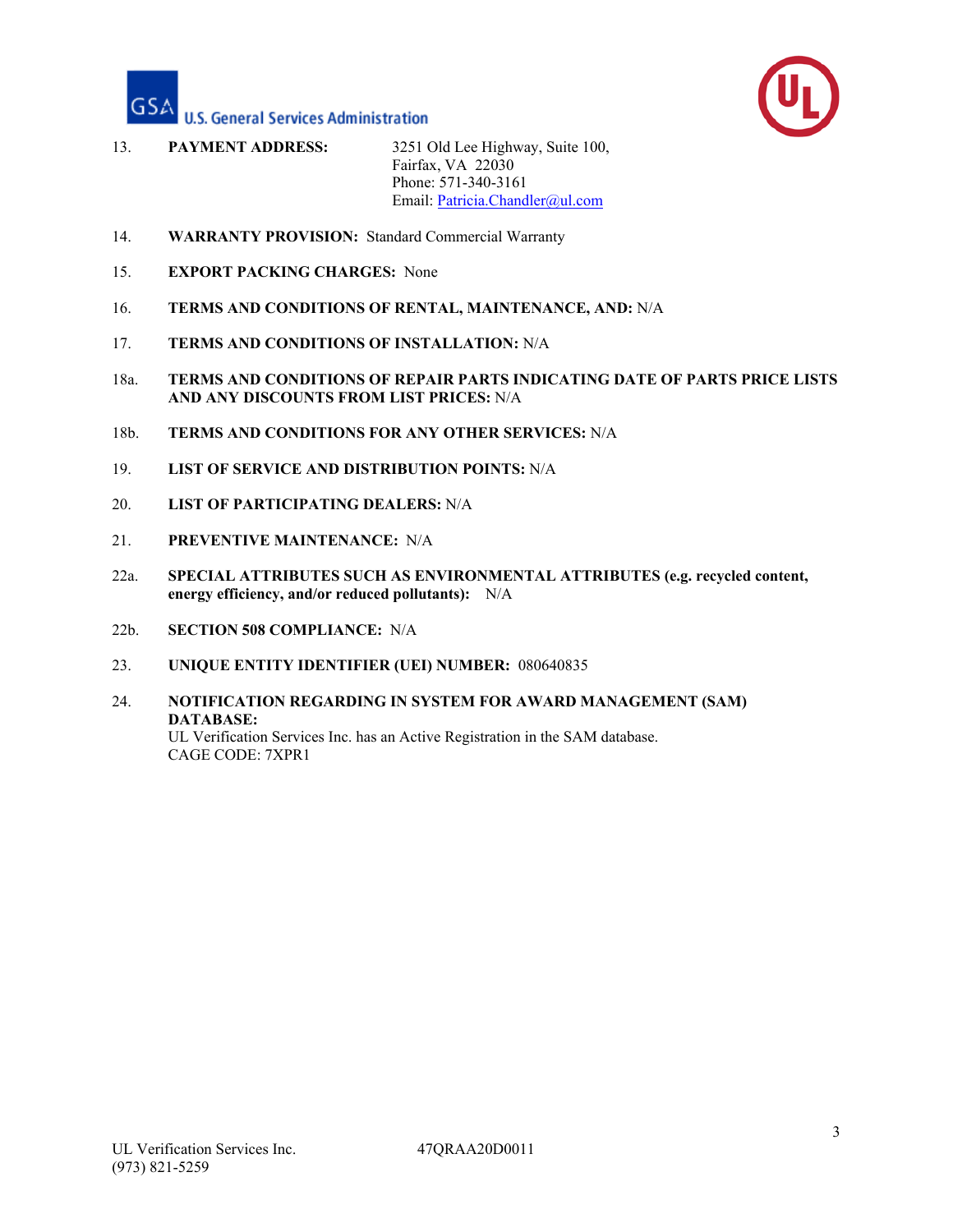



- 13. **PAYMENT ADDRESS:** 3251 Old Lee Highway, Suite 100, Fairfax, VA 22030 Phone: 571-340-3161 Email: Patricia.Chandler@ul.com
- 14. **WARRANTY PROVISION:** Standard Commercial Warranty
- 15. **EXPORT PACKING CHARGES:** None
- 16. **TERMS AND CONDITIONS OF RENTAL, MAINTENANCE, AND:** N/A
- 17. **TERMS AND CONDITIONS OF INSTALLATION:** N/A
- 18a. **TERMS AND CONDITIONS OF REPAIR PARTS INDICATING DATE OF PARTS PRICE LISTS AND ANY DISCOUNTS FROM LIST PRICES:** N/A
- 18b. **TERMS AND CONDITIONS FOR ANY OTHER SERVICES:** N/A
- 19. **LIST OF SERVICE AND DISTRIBUTION POINTS:** N/A
- 20. **LIST OF PARTICIPATING DEALERS:** N/A
- 21. **PREVENTIVE MAINTENANCE:** N/A
- 22a. **SPECIAL ATTRIBUTES SUCH AS ENVIRONMENTAL ATTRIBUTES (e.g. recycled content, energy efficiency, and/or reduced pollutants):** N/A
- 22b. **SECTION 508 COMPLIANCE:** N/A
- 23. **UNIQUE ENTITY IDENTIFIER (UEI) NUMBER:** 080640835
- 24. **NOTIFICATION REGARDING IN SYSTEM FOR AWARD MANAGEMENT (SAM) DATABASE:**  UL Verification Services Inc. has an Active Registration in the SAM database. CAGE CODE: 7XPR1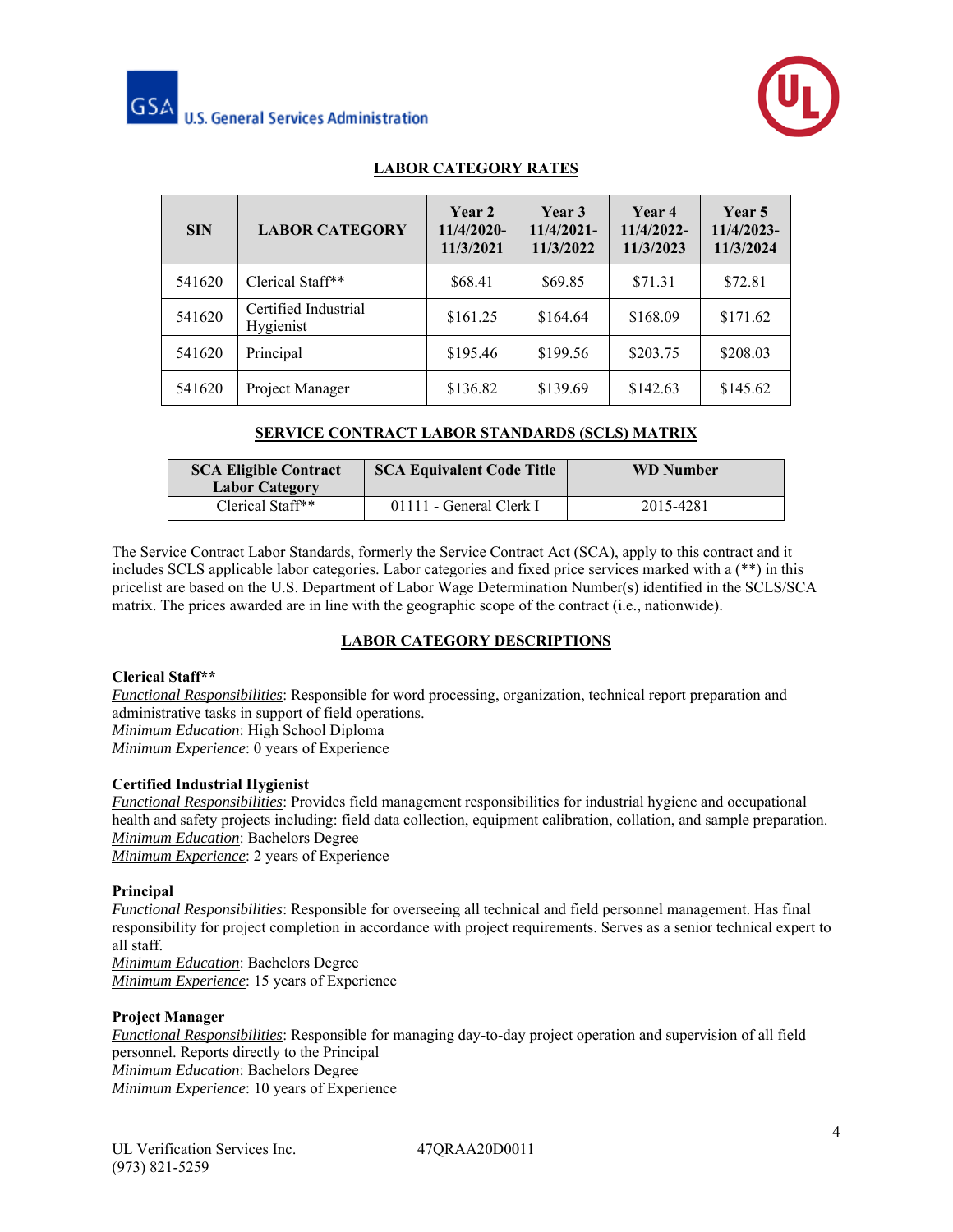



# **LABOR CATEGORY RATES**

| <b>SIN</b> | <b>LABOR CATEGORY</b>             | Year 2<br>11/4/2020-<br>11/3/2021 | Year 3<br>$11/4/2021-$<br>11/3/2022 | Year 4<br>11/4/2022-<br>11/3/2023 | Year 5<br>11/4/2023-<br>11/3/2024 |
|------------|-----------------------------------|-----------------------------------|-------------------------------------|-----------------------------------|-----------------------------------|
| 541620     | Clerical Staff**                  | \$68.41                           | \$69.85                             | \$71.31                           | \$72.81                           |
| 541620     | Certified Industrial<br>Hygienist | \$161.25                          | \$164.64                            | \$168.09                          | \$171.62                          |
| 541620     | Principal                         | \$195.46                          | \$199.56                            | \$203.75                          | \$208.03                          |
| 541620     | Project Manager                   | \$136.82                          | \$139.69                            | \$142.63                          | \$145.62                          |

# **SERVICE CONTRACT LABOR STANDARDS (SCLS) MATRIX**

| <b>SCA Eligible Contract</b><br><b>Labor Category</b> | <b>SCA Equivalent Code Title</b> | <b>WD</b> Number |
|-------------------------------------------------------|----------------------------------|------------------|
| Clerical Staff**                                      | 01111 - General Clerk I          | 2015-4281        |

The Service Contract Labor Standards, formerly the Service Contract Act (SCA), apply to this contract and it includes SCLS applicable labor categories. Labor categories and fixed price services marked with a (\*\*) in this pricelist are based on the U.S. Department of Labor Wage Determination Number(s) identified in the SCLS/SCA matrix. The prices awarded are in line with the geographic scope of the contract (i.e., nationwide).

# **LABOR CATEGORY DESCRIPTIONS**

#### **Clerical Staff\*\***

*Functional Responsibilities*: Responsible for word processing, organization, technical report preparation and administrative tasks in support of field operations. *Minimum Education*: High School Diploma

*Minimum Experience*: 0 years of Experience

#### **Certified Industrial Hygienist**

*Functional Responsibilities*: Provides field management responsibilities for industrial hygiene and occupational health and safety projects including: field data collection, equipment calibration, collation, and sample preparation. *Minimum Education*: Bachelors Degree *Minimum Experience*: 2 years of Experience

#### **Principal**

*Functional Responsibilities*: Responsible for overseeing all technical and field personnel management. Has final responsibility for project completion in accordance with project requirements. Serves as a senior technical expert to all staff.

*Minimum Education*: Bachelors Degree *Minimum Experience*: 15 years of Experience

## **Project Manager**

*Functional Responsibilities*: Responsible for managing day-to-day project operation and supervision of all field personnel. Reports directly to the Principal *Minimum Education*: Bachelors Degree *Minimum Experience*: 10 years of Experience